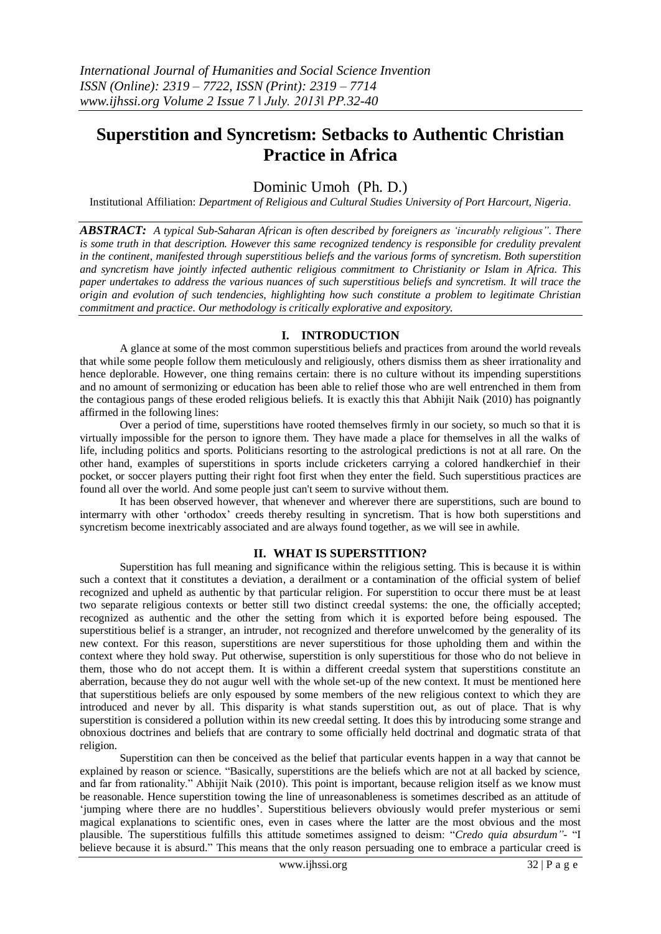# **Superstition and Syncretism: Setbacks to Authentic Christian Practice in Africa**

## Dominic Umoh (Ph. D.)

Institutional Affiliation: *Department of Religious and Cultural Studies University of Port Harcourt, Nigeria.*

*ABSTRACT: A typical Sub-Saharan African is often described by foreigners as 'incurably religious". There is some truth in that description. However this same recognized tendency is responsible for credulity prevalent in the continent, manifested through superstitious beliefs and the various forms of syncretism. Both superstition and syncretism have jointly infected authentic religious commitment to Christianity or Islam in Africa. This paper undertakes to address the various nuances of such superstitious beliefs and syncretism. It will trace the origin and evolution of such tendencies, highlighting how such constitute a problem to legitimate Christian commitment and practice. Our methodology is critically explorative and expository.*

### **I. INTRODUCTION**

A glance at some of the most common superstitious beliefs and practices from around the world reveals that while some people follow them meticulously and religiously, others dismiss them as sheer irrationality and hence deplorable. However, one thing remains certain: there is no culture without its impending superstitions and no amount of sermonizing or education has been able to relief those who are well entrenched in them from the contagious pangs of these eroded religious beliefs. It is exactly this that Abhijit Naik (2010) has poignantly affirmed in the following lines:

Over a period of time, superstitions have rooted themselves firmly in our society, so much so that it is virtually impossible for the person to ignore them. They have made a place for themselves in all the walks of life, including politics and sports. Politicians resorting to the astrological predictions is not at all rare. On the other hand, examples of superstitions in sports include cricketers carrying a colored handkerchief in their pocket, or soccer players putting their right foot first when they enter the field. Such superstitious practices are found all over the world. And some people just can't seem to survive without them.

It has been observed however, that whenever and wherever there are superstitions, such are bound to intermarry with other "orthodox" creeds thereby resulting in syncretism. That is how both superstitions and syncretism become inextricably associated and are always found together, as we will see in awhile.

#### **II. WHAT IS SUPERSTITION?**

Superstition has full meaning and significance within the religious setting. This is because it is within such a context that it constitutes a deviation, a derailment or a contamination of the official system of belief recognized and upheld as authentic by that particular religion. For superstition to occur there must be at least two separate religious contexts or better still two distinct creedal systems: the one, the officially accepted; recognized as authentic and the other the setting from which it is exported before being espoused. The superstitious belief is a stranger, an intruder, not recognized and therefore unwelcomed by the generality of its new context. For this reason, superstitions are never superstitious for those upholding them and within the context where they hold sway. Put otherwise, superstition is only superstitious for those who do not believe in them, those who do not accept them. It is within a different creedal system that superstitions constitute an aberration, because they do not augur well with the whole set-up of the new context. It must be mentioned here that superstitious beliefs are only espoused by some members of the new religious context to which they are introduced and never by all. This disparity is what stands superstition out, as out of place. That is why superstition is considered a pollution within its new creedal setting. It does this by introducing some strange and obnoxious doctrines and beliefs that are contrary to some officially held doctrinal and dogmatic strata of that religion.

Superstition can then be conceived as the belief that particular events happen in a way that cannot be explained by reason or science. "Basically, superstitions are the beliefs which are not at all backed by science, and far from rationality." Abhijit Naik (2010). This point is important, because religion itself as we know must be reasonable. Hence superstition towing the line of unreasonableness is sometimes described as an attitude of 'jumping where there are no huddles'. Superstitious believers obviously would prefer mysterious or semi magical explanations to scientific ones, even in cases where the latter are the most obvious and the most plausible. The superstitious fulfills this attitude sometimes assigned to deism: "*Credo quia absurdum"-* "I believe because it is absurd." This means that the only reason persuading one to embrace a particular creed is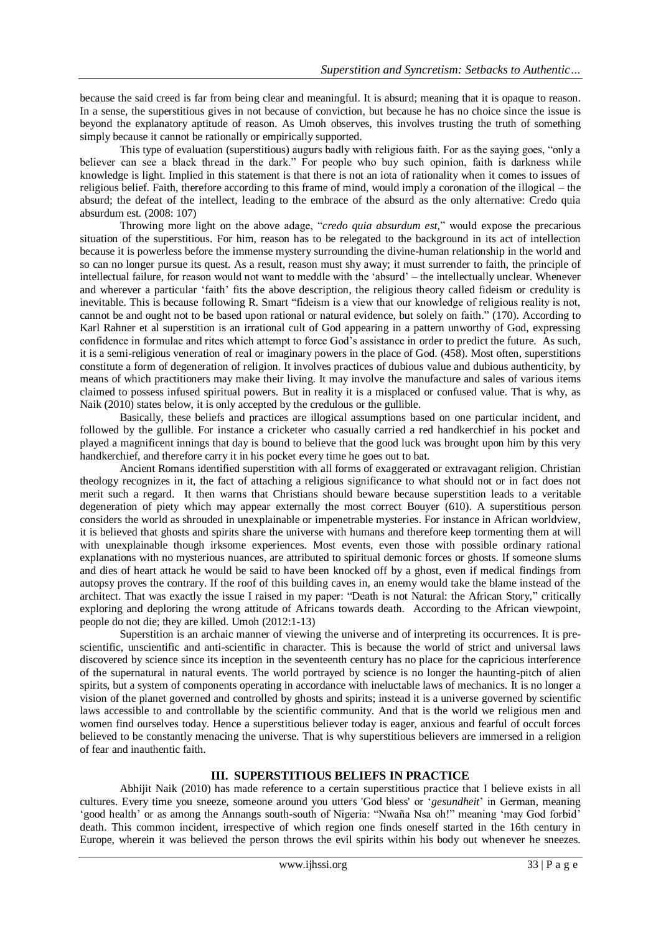because the said creed is far from being clear and meaningful. It is absurd; meaning that it is opaque to reason. In a sense, the superstitious gives in not because of conviction, but because he has no choice since the issue is beyond the explanatory aptitude of reason. As Umoh observes, this involves trusting the truth of something simply because it cannot be rationally or empirically supported.

This type of evaluation (superstitious) augurs badly with religious faith. For as the saying goes, "only a believer can see a black thread in the dark." For people who buy such opinion, faith is darkness while knowledge is light. Implied in this statement is that there is not an iota of rationality when it comes to issues of religious belief. Faith, therefore according to this frame of mind, would imply a coronation of the illogical – the absurd; the defeat of the intellect, leading to the embrace of the absurd as the only alternative: Credo quia absurdum est. (2008: 107)

Throwing more light on the above adage, "*credo quia absurdum est,*" would expose the precarious situation of the superstitious. For him, reason has to be relegated to the background in its act of intellection because it is powerless before the immense mystery surrounding the divine-human relationship in the world and so can no longer pursue its quest. As a result, reason must shy away; it must surrender to faith, the principle of intellectual failure, for reason would not want to meddle with the "absurd" – the intellectually unclear. Whenever and wherever a particular "faith" fits the above description, the religious theory called fideism or credulity is inevitable. This is because following R. Smart "fideism is a view that our knowledge of religious reality is not, cannot be and ought not to be based upon rational or natural evidence, but solely on faith." (170). According to Karl Rahner et al superstition is an irrational cult of God appearing in a pattern unworthy of God, expressing confidence in formulae and rites which attempt to force God"s assistance in order to predict the future. As such, it is a semi-religious veneration of real or imaginary powers in the place of God. (458). Most often, superstitions constitute a form of degeneration of religion. It involves practices of dubious value and dubious authenticity, by means of which practitioners may make their living. It may involve the manufacture and sales of various items claimed to possess infused spiritual powers. But in reality it is a misplaced or confused value. That is why, as Naik (2010) states below, it is only accepted by the credulous or the gullible.

Basically, these beliefs and practices are illogical assumptions based on one particular incident, and followed by the gullible. For instance a cricketer who casually carried a red handkerchief in his pocket and played a magnificent innings that day is bound to believe that the good luck was brought upon him by this very handkerchief, and therefore carry it in his pocket every time he goes out to bat*.*

Ancient Romans identified superstition with all forms of exaggerated or extravagant religion. Christian theology recognizes in it, the fact of attaching a religious significance to what should not or in fact does not merit such a regard. It then warns that Christians should beware because superstition leads to a veritable degeneration of piety which may appear externally the most correct Bouyer (610). A superstitious person considers the world as shrouded in unexplainable or impenetrable mysteries. For instance in African worldview, it is believed that ghosts and spirits share the universe with humans and therefore keep tormenting them at will with unexplainable though irksome experiences. Most events, even those with possible ordinary rational explanations with no mysterious nuances, are attributed to spiritual demonic forces or ghosts. If someone slums and dies of heart attack he would be said to have been knocked off by a ghost, even if medical findings from autopsy proves the contrary. If the roof of this building caves in, an enemy would take the blame instead of the architect. That was exactly the issue I raised in my paper: "Death is not Natural: the African Story," critically exploring and deploring the wrong attitude of Africans towards death. According to the African viewpoint, people do not die; they are killed. Umoh (2012:1-13)

Superstition is an archaic manner of viewing the universe and of interpreting its occurrences. It is prescientific, unscientific and anti-scientific in character. This is because the world of strict and universal laws discovered by science since its inception in the seventeenth century has no place for the capricious interference of the supernatural in natural events. The world portrayed by science is no longer the haunting-pitch of alien spirits, but a system of components operating in accordance with ineluctable laws of mechanics. It is no longer a vision of the planet governed and controlled by ghosts and spirits; instead it is a universe governed by scientific laws accessible to and controllable by the scientific community. And that is the world we religious men and women find ourselves today. Hence a superstitious believer today is eager, anxious and fearful of occult forces believed to be constantly menacing the universe. That is why superstitious believers are immersed in a religion of fear and inauthentic faith.

#### **III. SUPERSTITIOUS BELIEFS IN PRACTICE**

Abhijit Naik (2010) has made reference to a certain superstitious practice that I believe exists in all cultures. Every time you sneeze, someone around you utters 'God bless' or "*gesundheit*" in German, meaning 'good health' or as among the Annangs south-south of Nigeria: "Nwaña Nsa oh!" meaning 'may God forbid' death. This common incident, irrespective of which region one finds oneself started in the 16th century in Europe, wherein it was believed the person throws the evil spirits within his body out whenever he sneezes.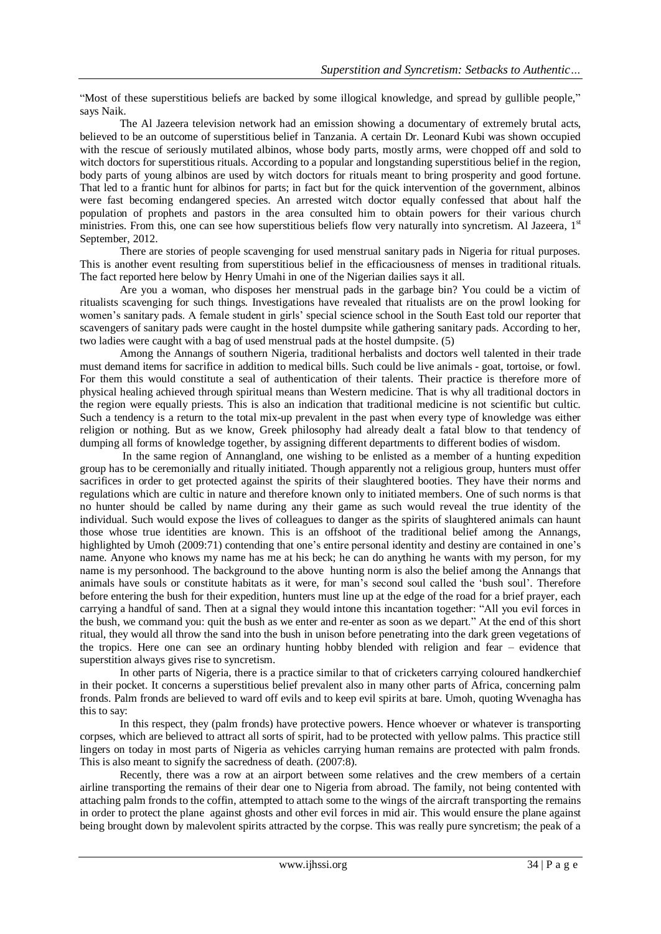"Most of these superstitious beliefs are backed by some illogical knowledge, and spread by gullible people," says Naik.

The Al Jazeera television network had an emission showing a documentary of extremely brutal acts, believed to be an outcome of superstitious belief in Tanzania. A certain Dr. Leonard Kubi was shown occupied with the rescue of seriously mutilated albinos, whose body parts, mostly arms, were chopped off and sold to witch doctors for superstitious rituals. According to a popular and longstanding superstitious belief in the region, body parts of young albinos are used by witch doctors for rituals meant to bring prosperity and good fortune. That led to a frantic hunt for albinos for parts; in fact but for the quick intervention of the government, albinos were fast becoming endangered species. An arrested witch doctor equally confessed that about half the population of prophets and pastors in the area consulted him to obtain powers for their various church ministries. From this, one can see how superstitious beliefs flow very naturally into syncretism. Al Jazeera, 1st September, 2012.

There are stories of people scavenging for used menstrual sanitary pads in Nigeria for ritual purposes. This is another event resulting from superstitious belief in the efficaciousness of menses in traditional rituals. The fact reported here below by Henry Umahi in one of the Nigerian dailies says it all.

Are you a woman, who disposes her menstrual pads in the garbage bin? You could be a victim of ritualists scavenging for such things. Investigations have revealed that ritualists are on the prowl looking for women"s sanitary pads. A female student in girls" special science school in the South East told our reporter that scavengers of sanitary pads were caught in the hostel dumpsite while gathering sanitary pads. According to her, two ladies were caught with a bag of used menstrual pads at the hostel dumpsite. (5)

Among the Annangs of southern Nigeria, traditional herbalists and doctors well talented in their trade must demand items for sacrifice in addition to medical bills. Such could be live animals - goat, tortoise, or fowl. For them this would constitute a seal of authentication of their talents. Their practice is therefore more of physical healing achieved through spiritual means than Western medicine. That is why all traditional doctors in the region were equally priests. This is also an indication that traditional medicine is not scientific but cultic. Such a tendency is a return to the total mix-up prevalent in the past when every type of knowledge was either religion or nothing. But as we know, Greek philosophy had already dealt a fatal blow to that tendency of dumping all forms of knowledge together, by assigning different departments to different bodies of wisdom.

In the same region of Annangland, one wishing to be enlisted as a member of a hunting expedition group has to be ceremonially and ritually initiated. Though apparently not a religious group, hunters must offer sacrifices in order to get protected against the spirits of their slaughtered booties. They have their norms and regulations which are cultic in nature and therefore known only to initiated members. One of such norms is that no hunter should be called by name during any their game as such would reveal the true identity of the individual. Such would expose the lives of colleagues to danger as the spirits of slaughtered animals can haunt those whose true identities are known. This is an offshoot of the traditional belief among the Annangs, highlighted by Umoh (2009:71) contending that one's entire personal identity and destiny are contained in one's name. Anyone who knows my name has me at his beck; he can do anything he wants with my person, for my name is my personhood. The background to the above hunting norm is also the belief among the Annangs that animals have souls or constitute habitats as it were, for man"s second soul called the "bush soul". Therefore before entering the bush for their expedition, hunters must line up at the edge of the road for a brief prayer, each carrying a handful of sand. Then at a signal they would intone this incantation together: "All you evil forces in the bush, we command you: quit the bush as we enter and re-enter as soon as we depart." At the end of this short ritual, they would all throw the sand into the bush in unison before penetrating into the dark green vegetations of the tropics. Here one can see an ordinary hunting hobby blended with religion and fear – evidence that superstition always gives rise to syncretism.

In other parts of Nigeria, there is a practice similar to that of cricketers carrying coloured handkerchief in their pocket. It concerns a superstitious belief prevalent also in many other parts of Africa, concerning palm fronds. Palm fronds are believed to ward off evils and to keep evil spirits at bare. Umoh, quoting Wvenagha has this to say:

In this respect, they (palm fronds) have protective powers. Hence whoever or whatever is transporting corpses, which are believed to attract all sorts of spirit, had to be protected with yellow palms. This practice still lingers on today in most parts of Nigeria as vehicles carrying human remains are protected with palm fronds. This is also meant to signify the sacredness of death. (2007:8).

Recently, there was a row at an airport between some relatives and the crew members of a certain airline transporting the remains of their dear one to Nigeria from abroad. The family, not being contented with attaching palm fronds to the coffin, attempted to attach some to the wings of the aircraft transporting the remains in order to protect the plane against ghosts and other evil forces in mid air. This would ensure the plane against being brought down by malevolent spirits attracted by the corpse. This was really pure syncretism; the peak of a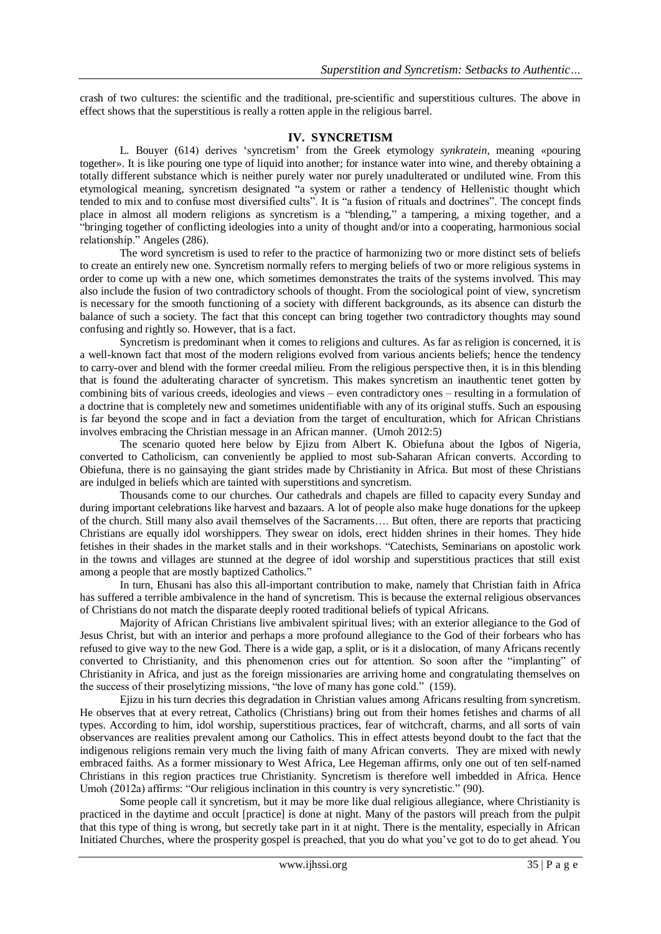crash of two cultures: the scientific and the traditional, pre-scientific and superstitious cultures. The above in effect shows that the superstitious is really a rotten apple in the religious barrel.

#### **IV. SYNCRETISM**

L. Bouyer (614) derives "syncretism" from the Greek etymology *synkratein*, meaning «pouring together». It is like pouring one type of liquid into another; for instance water into wine, and thereby obtaining a totally different substance which is neither purely water nor purely unadulterated or undiluted wine. From this etymological meaning, syncretism designated "a system or rather a tendency of Hellenistic thought which tended to mix and to confuse most diversified cults". It is "a fusion of rituals and doctrines". The concept finds place in almost all modern religions as syncretism is a "blending," a tampering, a mixing together, and a "bringing together of conflicting ideologies into a unity of thought and/or into a cooperating, harmonious social relationship." Angeles (286).

The word syncretism is used to refer to the practice of harmonizing two or more distinct sets of beliefs to create an entirely new one. Syncretism normally refers to merging beliefs of two or more religious systems in order to come up with a new one, which sometimes demonstrates the traits of the systems involved. This may also include the fusion of two contradictory schools of thought. From the sociological point of view, syncretism is necessary for the smooth functioning of a society with different backgrounds, as its absence can disturb the balance of such a society. The fact that this concept can bring together two contradictory thoughts may sound confusing and rightly so. However, that is a fact.

Syncretism is predominant when it comes to religions and cultures. As far as religion is concerned, it is a well-known fact that most of the modern religions evolved from various ancients beliefs; hence the tendency to carry-over and blend with the former creedal milieu. From the religious perspective then, it is in this blending that is found the adulterating character of syncretism. This makes syncretism an inauthentic tenet gotten by combining bits of various creeds, ideologies and views – even contradictory ones – resulting in a formulation of a doctrine that is completely new and sometimes unidentifiable with any of its original stuffs. Such an espousing is far beyond the scope and in fact a deviation from the target of enculturation, which for African Christians involves embracing the Christian message in an African manner. (Umoh 2012:5)

The scenario quoted here below by Ejizu from Albert K. Obiefuna about the Igbos of Nigeria, converted to Catholicism, can conveniently be applied to most sub-Saharan African converts. According to Obiefuna, there is no gainsaying the giant strides made by Christianity in Africa. But most of these Christians are indulged in beliefs which are tainted with superstitions and syncretism.

Thousands come to our churches. Our cathedrals and chapels are filled to capacity every Sunday and during important celebrations like harvest and bazaars. A lot of people also make huge donations for the upkeep of the church. Still many also avail themselves of the Sacraments…. But often, there are reports that practicing Christians are equally idol worshippers. They swear on idols, erect hidden shrines in their homes. They hide fetishes in their shades in the market stalls and in their workshops. "Catechists, Seminarians on apostolic work in the towns and villages are stunned at the degree of idol worship and superstitious practices that still exist among a people that are mostly baptized Catholics."

In turn, Ehusani has also this all-important contribution to make, namely that Christian faith in Africa has suffered a terrible ambivalence in the hand of syncretism. This is because the external religious observances of Christians do not match the disparate deeply rooted traditional beliefs of typical Africans.

Majority of African Christians live ambivalent spiritual lives; with an exterior allegiance to the God of Jesus Christ, but with an interior and perhaps a more profound allegiance to the God of their forbears who has refused to give way to the new God. There is a wide gap, a split, or is it a dislocation, of many Africans recently converted to Christianity, and this phenomenon cries out for attention. So soon after the "implanting" of Christianity in Africa, and just as the foreign missionaries are arriving home and congratulating themselves on the success of their proselytizing missions, "the love of many has gone cold." (159).

Ejizu in his turn decries this degradation in Christian values among Africans resulting from syncretism. He observes that at every retreat, Catholics (Christians) bring out from their homes fetishes and charms of all types. According to him, idol worship, superstitious practices, fear of witchcraft, charms, and all sorts of vain observances are realities prevalent among our Catholics. This in effect attests beyond doubt to the fact that the indigenous religions remain very much the living faith of many African converts. They are mixed with newly embraced faiths. As a former missionary to West Africa, Lee Hegeman affirms, only one out of ten self-named Christians in this region practices true Christianity. Syncretism is therefore well imbedded in Africa. Hence Umoh (2012a) affirms: "Our religious inclination in this country is very syncretistic." (90).

Some people call it syncretism, but it may be more like dual religious allegiance, where Christianity is practiced in the daytime and occult [practice] is done at night. Many of the pastors will preach from the pulpit that this type of thing is wrong, but secretly take part in it at night. There is the mentality, especially in African Initiated Churches, where the prosperity gospel is preached, that you do what you"ve got to do to get ahead. You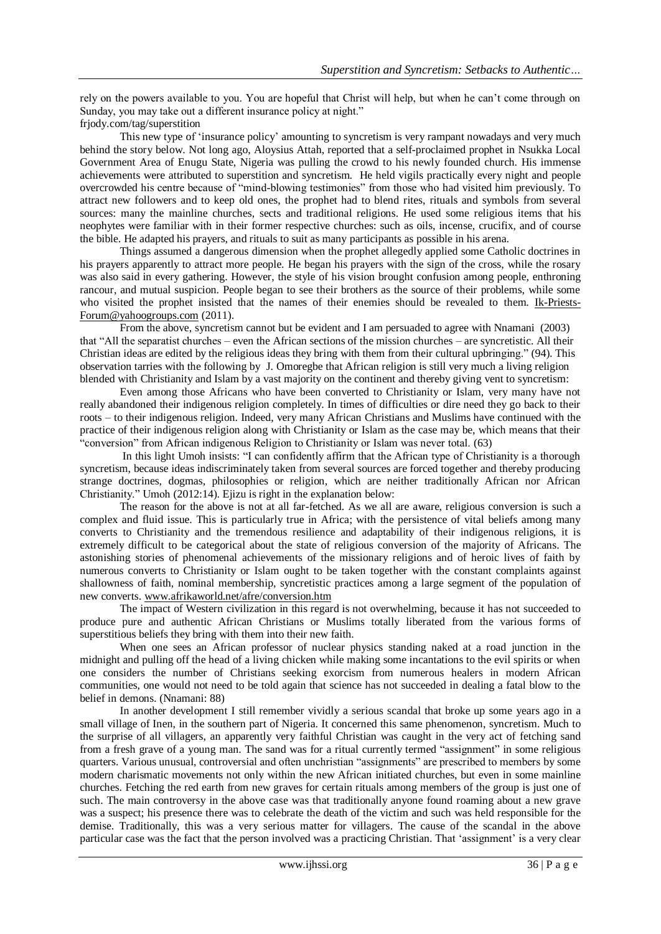rely on the powers available to you. You are hopeful that Christ will help, but when he can"t come through on Sunday, you may take out a different insurance policy at night."

frjody.com/tag/superstition

This new type of "insurance policy" amounting to syncretism is very rampant nowadays and very much behind the story below. Not long ago, Aloysius Attah, reported that a self-proclaimed prophet in Nsukka Local Government Area of Enugu State, Nigeria was pulling the crowd to his newly founded church. His immense achievements were attributed to superstition and syncretism*.* He held vigils practically every night and people overcrowded his centre because of "mind-blowing testimonies" from those who had visited him previously. To attract new followers and to keep old ones, the prophet had to blend rites, rituals and symbols from several sources: many the mainline churches, sects and traditional religions. He used some religious items that his neophytes were familiar with in their former respective churches: such as oils, incense, crucifix, and of course the bible. He adapted his prayers, and rituals to suit as many participants as possible in his arena.

Things assumed a dangerous dimension when the prophet allegedly applied some Catholic doctrines in his prayers apparently to attract more people. He began his prayers with the sign of the cross, while the rosary was also said in every gathering. However, the style of his vision brought confusion among people, enthroning rancour, and mutual suspicion. People began to see their brothers as the source of their problems, while some who visited the prophet insisted that the names of their enemies should be revealed to them. [Ik-Priests-](http://36ohk6dgmcd1n-c.c.yom.mail.yahoo.net/om/api/1.0/openmail.app.invoke/36ohk6dgmcd1n/11/1.0.35/uk/en-GB/view.html/0)[Forum@yahoogroups.com](http://36ohk6dgmcd1n-c.c.yom.mail.yahoo.net/om/api/1.0/openmail.app.invoke/36ohk6dgmcd1n/11/1.0.35/uk/en-GB/view.html/0) (2011).

From the above, syncretism cannot but be evident and I am persuaded to agree with Nnamani (2003) that "All the separatist churches – even the African sections of the mission churches – are syncretistic. All their Christian ideas are edited by the religious ideas they bring with them from their cultural upbringing." (94). This observation tarries with the following by J. Omoregbe that African religion is still very much a living religion blended with Christianity and Islam by a vast majority on the continent and thereby giving vent to syncretism:

Even among those Africans who have been converted to Christianity or Islam, very many have not really abandoned their indigenous religion completely. In times of difficulties or dire need they go back to their roots – to their indigenous religion. Indeed, very many African Christians and Muslims have continued with the practice of their indigenous religion along with Christianity or Islam as the case may be, which means that their "conversion" from African indigenous Religion to Christianity or Islam was never total. (63)

In this light Umoh insists: "I can confidently affirm that the African type of Christianity is a thorough syncretism, because ideas indiscriminately taken from several sources are forced together and thereby producing strange doctrines, dogmas, philosophies or religion, which are neither traditionally African nor African Christianity." Umoh (2012:14). Ejizu is right in the explanation below:

The reason for the above is not at all far-fetched. As we all are aware, religious conversion is such a complex and fluid issue. This is particularly true in Africa; with the persistence of vital beliefs among many converts to Christianity and the tremendous resilience and adaptability of their indigenous religions, it is extremely difficult to be categorical about the state of religious conversion of the majority of Africans. The astonishing stories of phenomenal achievements of the missionary religions and of heroic lives of faith by numerous converts to Christianity or Islam ought to be taken together with the constant complaints against shallowness of faith, nominal membership, syncretistic practices among a large segment of the population of new converts. [www.afrikaworld.net/afre/conversion.htm](http://www.afrikaworld.net/afre/conversion.htm)

The impact of Western civilization in this regard is not overwhelming, because it has not succeeded to produce pure and authentic African Christians or Muslims totally liberated from the various forms of superstitious beliefs they bring with them into their new faith.

When one sees an African professor of nuclear physics standing naked at a road junction in the midnight and pulling off the head of a living chicken while making some incantations to the evil spirits or when one considers the number of Christians seeking exorcism from numerous healers in modern African communities, one would not need to be told again that science has not succeeded in dealing a fatal blow to the belief in demons. (Nnamani: 88)

In another development I still remember vividly a serious scandal that broke up some years ago in a small village of Inen, in the southern part of Nigeria. It concerned this same phenomenon, syncretism. Much to the surprise of all villagers, an apparently very faithful Christian was caught in the very act of fetching sand from a fresh grave of a young man. The sand was for a ritual currently termed "assignment" in some religious quarters. Various unusual, controversial and often unchristian "assignments" are prescribed to members by some modern charismatic movements not only within the new African initiated churches, but even in some mainline churches. Fetching the red earth from new graves for certain rituals among members of the group is just one of such. The main controversy in the above case was that traditionally anyone found roaming about a new grave was a suspect; his presence there was to celebrate the death of the victim and such was held responsible for the demise. Traditionally, this was a very serious matter for villagers. The cause of the scandal in the above particular case was the fact that the person involved was a practicing Christian. That "assignment" is a very clear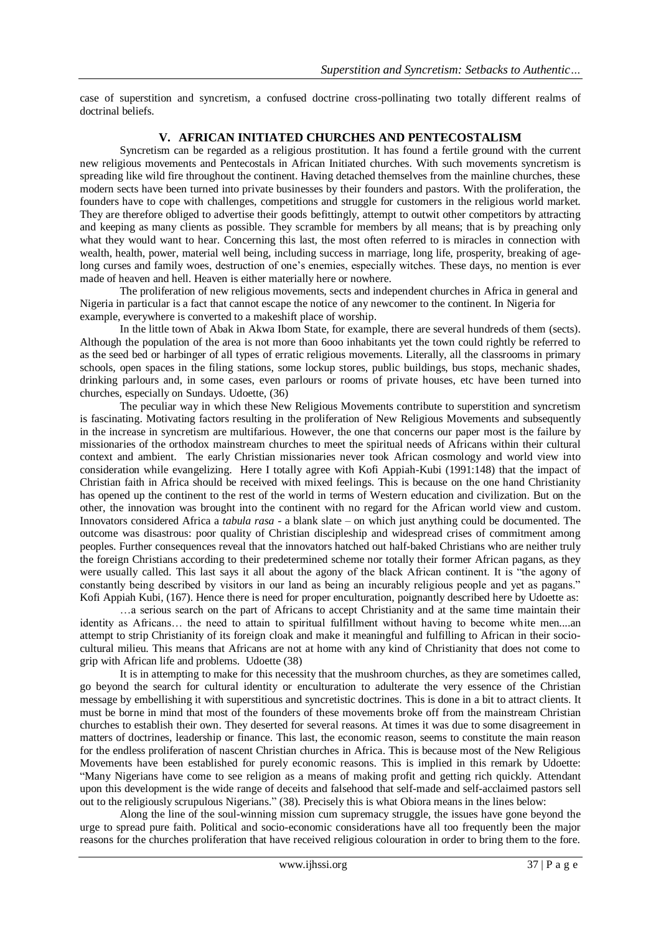case of superstition and syncretism, a confused doctrine cross-pollinating two totally different realms of doctrinal beliefs.

### **V. AFRICAN INITIATED CHURCHES AND PENTECOSTALISM**

Syncretism can be regarded as a religious prostitution. It has found a fertile ground with the current new religious movements and Pentecostals in African Initiated churches. With such movements syncretism is spreading like wild fire throughout the continent. Having detached themselves from the mainline churches, these modern sects have been turned into private businesses by their founders and pastors. With the proliferation, the founders have to cope with challenges, competitions and struggle for customers in the religious world market. They are therefore obliged to advertise their goods befittingly, attempt to outwit other competitors by attracting and keeping as many clients as possible. They scramble for members by all means; that is by preaching only what they would want to hear. Concerning this last, the most often referred to is miracles in connection with wealth, health, power, material well being, including success in marriage, long life, prosperity, breaking of agelong curses and family woes, destruction of one"s enemies, especially witches. These days, no mention is ever made of heaven and hell. Heaven is either materially here or nowhere.

The proliferation of new religious movements, sects and independent churches in Africa in general and Nigeria in particular is a fact that cannot escape the notice of any newcomer to the continent. In Nigeria for example, everywhere is converted to a makeshift place of worship.

In the little town of Abak in Akwa Ibom State, for example, there are several hundreds of them (sects). Although the population of the area is not more than 6ooo inhabitants yet the town could rightly be referred to as the seed bed or harbinger of all types of erratic religious movements. Literally, all the classrooms in primary schools, open spaces in the filing stations, some lockup stores, public buildings, bus stops, mechanic shades, drinking parlours and, in some cases, even parlours or rooms of private houses, etc have been turned into churches, especially on Sundays. Udoette, (36)

The peculiar way in which these New Religious Movements contribute to superstition and syncretism is fascinating. Motivating factors resulting in the proliferation of New Religious Movements and subsequently in the increase in syncretism are multifarious. However, the one that concerns our paper most is the failure by missionaries of the orthodox mainstream churches to meet the spiritual needs of Africans within their cultural context and ambient. The early Christian missionaries never took African cosmology and world view into consideration while evangelizing. Here I totally agree with Kofi Appiah-Kubi (1991:148) that the impact of Christian faith in Africa should be received with mixed feelings. This is because on the one hand Christianity has opened up the continent to the rest of the world in terms of Western education and civilization. But on the other, the innovation was brought into the continent with no regard for the African world view and custom. Innovators considered Africa a *tabula rasa* - a blank slate – on which just anything could be documented. The outcome was disastrous: poor quality of Christian discipleship and widespread crises of commitment among peoples. Further consequences reveal that the innovators hatched out half-baked Christians who are neither truly the foreign Christians according to their predetermined scheme nor totally their former African pagans, as they were usually called. This last says it all about the agony of the black African continent. It is "the agony of constantly being described by visitors in our land as being an incurably religious people and yet as pagans." Kofi Appiah Kubi, (167). Hence there is need for proper enculturation, poignantly described here by Udoette as:

…a serious search on the part of Africans to accept Christianity and at the same time maintain their identity as Africans… the need to attain to spiritual fulfillment without having to become white men....an attempt to strip Christianity of its foreign cloak and make it meaningful and fulfilling to African in their sociocultural milieu. This means that Africans are not at home with any kind of Christianity that does not come to grip with African life and problems. Udoette (38)

It is in attempting to make for this necessity that the mushroom churches, as they are sometimes called, go beyond the search for cultural identity or enculturation to adulterate the very essence of the Christian message by embellishing it with superstitious and syncretistic doctrines. This is done in a bit to attract clients. It must be borne in mind that most of the founders of these movements broke off from the mainstream Christian churches to establish their own. They deserted for several reasons. At times it was due to some disagreement in matters of doctrines, leadership or finance. This last, the economic reason, seems to constitute the main reason for the endless proliferation of nascent Christian churches in Africa. This is because most of the New Religious Movements have been established for purely economic reasons. This is implied in this remark by Udoette: "Many Nigerians have come to see religion as a means of making profit and getting rich quickly. Attendant upon this development is the wide range of deceits and falsehood that self-made and self-acclaimed pastors sell out to the religiously scrupulous Nigerians." (38). Precisely this is what Obiora means in the lines below:

Along the line of the soul-winning mission cum supremacy struggle, the issues have gone beyond the urge to spread pure faith. Political and socio-economic considerations have all too frequently been the major reasons for the churches proliferation that have received religious colouration in order to bring them to the fore.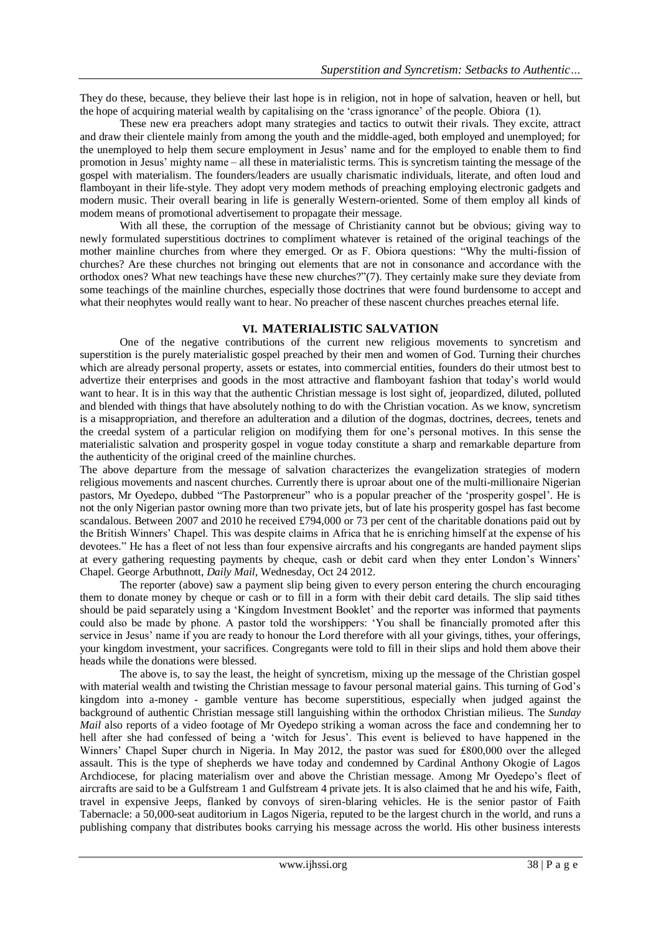They do these, because, they believe their last hope is in religion, not in hope of salvation, heaven or hell, but the hope of acquiring material wealth by capitalising on the "crass ignorance" of the people. Obiora (1).

These new era preachers adopt many strategies and tactics to outwit their rivals. They excite, attract and draw their clientele mainly from among the youth and the middle-aged, both employed and unemployed; for the unemployed to help them secure employment in Jesus" name and for the employed to enable them to find promotion in Jesus" mighty name – all these in materialistic terms. This is syncretism tainting the message of the gospel with materialism. The founders/leaders are usually charismatic individuals, literate, and often loud and flamboyant in their life-style. They adopt very modem methods of preaching employing electronic gadgets and modern music. Their overall bearing in life is generally Western-oriented. Some of them employ all kinds of modem means of promotional advertisement to propagate their message.

With all these, the corruption of the message of Christianity cannot but be obvious; giving way to newly formulated superstitious doctrines to compliment whatever is retained of the original teachings of the mother mainline churches from where they emerged. Or as F. Obiora questions: "Why the multi-fission of churches? Are these churches not bringing out elements that are not in consonance and accordance with the orthodox ones? What new teachings have these new churches?"(7). They certainly make sure they deviate from some teachings of the mainline churches, especially those doctrines that were found burdensome to accept and what their neophytes would really want to hear. No preacher of these nascent churches preaches eternal life.

#### **VI. MATERIALISTIC SALVATION**

One of the negative contributions of the current new religious movements to syncretism and superstition is the purely materialistic gospel preached by their men and women of God. Turning their churches which are already personal property, assets or estates, into commercial entities, founders do their utmost best to advertize their enterprises and goods in the most attractive and flamboyant fashion that today"s world would want to hear. It is in this way that the authentic Christian message is lost sight of, jeopardized, diluted, polluted and blended with things that have absolutely nothing to do with the Christian vocation. As we know, syncretism is a misappropriation, and therefore an adulteration and a dilution of the dogmas, doctrines, decrees, tenets and the creedal system of a particular religion on modifying them for one"s personal motives. In this sense the materialistic salvation and prosperity gospel in vogue today constitute a sharp and remarkable departure from the authenticity of the original creed of the mainline churches.

The above departure from the message of salvation characterizes the evangelization strategies of modern religious movements and nascent churches. Currently there is uproar about one of the multi-millionaire Nigerian pastors, Mr Oyedepo, dubbed "The Pastorpreneur" who is a popular preacher of the "prosperity gospel". He is not the only Nigerian pastor owning more than two private jets, but of late his prosperity gospel has fast become scandalous. Between 2007 and 2010 he received £794,000 or 73 per cent of the charitable donations paid out by the British Winners" Chapel. This was despite claims in Africa that he is enriching himself at the expense of his devotees." He has a fleet of not less than four expensive aircrafts and his congregants are handed payment slips at every gathering requesting payments by cheque, cash or debit card when they enter London"s Winners" Chapel. [George Arbuthnott,](http://www.dailymail.co.uk/home/search.html?s=&authornamef=George+Arbuthnott) *Daily Mail*, Wednesday, Oct 24 2012.

The reporter (above) saw a payment slip being given to every person entering the church encouraging them to donate money by cheque or cash or to fill in a form with their debit card details. The slip said tithes should be paid separately using a "Kingdom Investment Booklet" and the reporter was informed that payments could also be made by phone. A pastor told the worshippers: "You shall be financially promoted after this service in Jesus' name if you are ready to honour the Lord therefore with all your givings, tithes, your offerings, your kingdom investment, your sacrifices. Congregants were told to fill in their slips and hold them above their heads while the donations were blessed.

The above is, to say the least, the height of syncretism, mixing up the message of the Christian gospel with material wealth and twisting the Christian message to favour personal material gains. This turning of God's kingdom into a-money - gamble venture has become superstitious, especially when judged against the background of authentic Christian message still languishing within the orthodox Christian milieus. The *Sunday Mail* also reports of a video footage of Mr Oyedepo striking a woman across the face and condemning her to hell after she had confessed of being a 'witch for Jesus'. This event is believed to have happened in the Winners" Chapel Super church in Nigeria. In May 2012, the pastor was sued for ₤800,000 over the alleged assault. This is the type of shepherds we have today and condemned by Cardinal Anthony Okogie of Lagos Archdiocese, for placing materialism over and above the Christian message. Among Mr Oyedepo"s fleet of aircrafts are said to be a Gulfstream 1 and Gulfstream 4 private jets. It is also claimed that he and his wife, Faith, travel in expensive Jeeps, flanked by convoys of siren-blaring vehicles. He is the senior pastor of Faith Tabernacle: a 50,000-seat auditorium in Lagos Nigeria, reputed to be the largest church in the world, and runs a publishing company that distributes books carrying his message across the world. His other business interests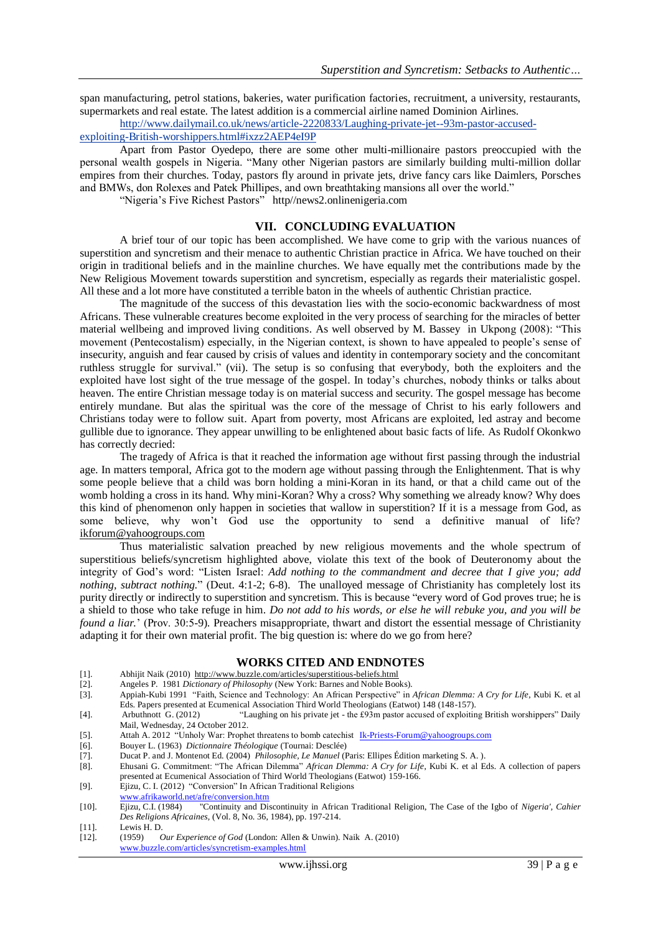span manufacturing, petrol stations, bakeries, water purification factories, recruitment, a university, restaurants, supermarkets and real estate. The latest addition is a commercial airline named Dominion Airlines.

[http://www.dailymail.co.uk/news/article-2220833/Laughing-private-jet--93m-pastor-accused](http://www.dailymail.co.uk/news/article-2220833/Laughing-private-jet--93m-pastor-accused-exploiting-British-worshippers.html#ixzz2AEP4eI9P)[exploiting-British-worshippers.html#ixzz2AEP4eI9P](http://www.dailymail.co.uk/news/article-2220833/Laughing-private-jet--93m-pastor-accused-exploiting-British-worshippers.html#ixzz2AEP4eI9P)

Apart from Pastor Oyedepo, there are some other multi-millionaire pastors preoccupied with the personal wealth gospels in Nigeria. "Many other Nigerian pastors are similarly building multi-million dollar empires from their churches. Today, pastors fly around in private jets, drive fancy cars like Daimlers, Porsches and BMWs, don Rolexes and Patek Phillipes, and own breathtaking mansions all over the world."

"Nigeria"s Five Richest Pastors" http//news2.onlinenigeria.com

#### **VII. CONCLUDING EVALUATION**

A brief tour of our topic has been accomplished. We have come to grip with the various nuances of superstition and syncretism and their menace to authentic Christian practice in Africa. We have touched on their origin in traditional beliefs and in the mainline churches. We have equally met the contributions made by the New Religious Movement towards superstition and syncretism, especially as regards their materialistic gospel. All these and a lot more have constituted a terrible baton in the wheels of authentic Christian practice.

The magnitude of the success of this devastation lies with the socio-economic backwardness of most Africans. These vulnerable creatures become exploited in the very process of searching for the miracles of better material wellbeing and improved living conditions. As well observed by M. Bassey in Ukpong (2008): "This movement (Pentecostalism) especially, in the Nigerian context, is shown to have appealed to people"s sense of insecurity, anguish and fear caused by crisis of values and identity in contemporary society and the concomitant ruthless struggle for survival." (vii). The setup is so confusing that everybody, both the exploiters and the exploited have lost sight of the true message of the gospel. In today"s churches, nobody thinks or talks about heaven. The entire Christian message today is on material success and security. The gospel message has become entirely mundane. But alas the spiritual was the core of the message of Christ to his early followers and Christians today were to follow suit. Apart from poverty, most Africans are exploited, led astray and become gullible due to ignorance. They appear unwilling to be enlightened about basic facts of life. As Rudolf Okonkwo has correctly decried:

The tragedy of Africa is that it reached the information age without first passing through the industrial age. In matters temporal, Africa got to the modern age without passing through the Enlightenment. That is why some people believe that a child was born holding a mini-Koran in its hand, or that a child came out of the womb holding a cross in its hand. Why mini-Koran? Why a cross? Why something we already know? Why does this kind of phenomenon only happen in societies that wallow in superstition? If it is a message from God, as some believe, why won"t God use the opportunity to send a definitive manual of life? [ikforum@yahoogroups.com](mailto:ikforum@yahoogroups.com)

Thus materialistic salvation preached by new religious movements and the whole spectrum of superstitious beliefs/syncretism highlighted above, violate this text of the book of Deuteronomy about the integrity of God"s word: "Listen Israel: *Add nothing to the commandment and decree that I give you; add nothing, subtract nothing.*" (Deut. 4:1-2; 6-8). The unalloyed message of Christianity has completely lost its purity directly or indirectly to superstition and syncretism. This is because "every word of God proves true; he is a shield to those who take refuge in him. *Do not add to his words, or else he will rebuke you, and you will be found a liar.*" (Prov. 30:5-9). Preachers misappropriate, thwart and distort the essential message of Christianity adapting it for their own material profit. The big question is: where do we go from here?

#### **WORKS CITED AND ENDNOTES**

- [1]. Abhijit Naik (2010)<http://www.buzzle.com/articles/superstitious-beliefs.html> <br>[2]. Angeles P. 1981 Dictionary of Philosophy (New York: Barnes and Noble Bool
- [2]. Angeles P. 1981 *Dictionary of Philosophy* (New York: Barnes and Noble Books).
- [3]. Appiah-Kubi 1991 "Faith, Science and Technology: An African Perspective" in *African Dlemma: A Cry for Life*, Kubi K. et al Eds. Papers presented at Ecumenical Association Third World Theologians (Eatwot) 148 (148-157).
- [4]. [Arbuthnott](http://www.dailymail.co.uk/home/search.html?s=&authornamef=George+Arbuthnott) G. (2012) "Laughing on his private jet the £93m pastor accused of exploiting British worshippers" Daily Mail, Wednesday, 24 October 2012.
- [5]. Attah A. 2012 "Unholy War: Prophet threatens to bomb catechist [Ik-Priests-Forum@yahoogroups.com](mailto:Ik-Priests-Forum@yahoogroups.com)
- [6]. Bouyer L. (1963) *Dictionnaire Théologique* (Tournai: Desclée)
- [7]. Ducat P. and J. Montenot Ed. (2004) *Philosophie, Le Manuel* (Paris: Ellipes Édition marketing S. A. ).
- [8]. Ehusani G. Commitment: "The African Dilemma" *African Dlemma: A Cry for Life*, Kubi K. et al Eds. A collection of papers presented at Ecumenical Association of Third World Theologians (Eatwot) 159-166.
- [9]. Ejizu, C. I. (2012) "Conversion" In African Traditional Religions
- [www.afrikaworld.net/afre/conversion.htm](http://www.afrikaworld.net/afre/conversion.htm)
- [10]. Ejizu, C.I. (1984) "Continuity and Discontinuity in African Traditional Religion, The Case of the Igbo of *Nigeria', Cahier Des Religions Africaines,* (Vol. 8, No. 36, 1984), pp. 197-214.
- [11]. Lewis H. D.<br>[12]. (1959) (
- [12]. (1959) *Our Experience of God* (London: Allen & Unwin). Naik A. (2010) [www.buzzle.com/articles/syncretism-examples.html](http://www.buzzle.com/articles/syncretism-examples.html)